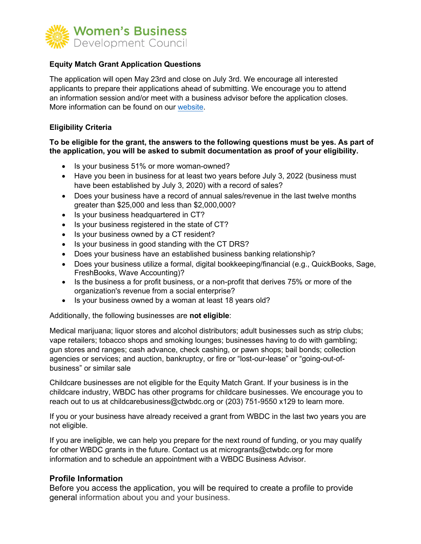

## **Equity Match Grant Application Questions**

The application will open May 23rd and close on July 3rd. We encourage all interested applicants to prepare their applications ahead of submitting. We encourage you to attend an information session and/or meet with a business advisor before the application closes. More information ca[n be found on](https://ctwbdc.org/equity-match-grant-program-2-2/) our website.

## **Eligibility Criteria**

#### **To be eligible for the grant, the answers to the following questions must be yes. As part of the application, you will be asked to submit documentation as proof of your eligibility.**

- Is your business 51% or more woman-owned?
- Have you been in business for at least two years before July 3, 2022 (business must have been established by July 3, 2020) with a record of sales?
- Does your business have a record of annual sales/revenue in the last twelve months greater than \$25,000 and less than \$2,000,000?
- Is your business headquartered in CT?
- Is your business registered in the state of CT?
- Is your business owned by a CT resident?
- Is your business in good standing with the CT DRS?
- Does your business have an established business banking relationship?
- Does your business utilize a formal, digital bookkeeping/financial (e.g., QuickBooks, Sage, FreshBooks, Wave Accounting)?
- Is the business a for profit business, or a non-profit that derives 75% or more of the organization's revenue from a social enterprise?
- Is your business owned by a woman at least 18 years old?

Additionally, the following businesses are **not eligible**:

Medical marijuana; liquor stores and alcohol distributors; adult businesses such as strip clubs; vape retailers; tobacco shops and smoking lounges; businesses having to do with gambling; gun stores and ranges; cash advance, check cashing, or pawn shops; bail bonds; collection agencies or services; and auction, bankruptcy, or fire or "lost-our-lease" or "going-out-ofbusiness" or similar sale

Childcare businesses are not eligible for the Equity Match Grant. If your business is in the childcare industry, WBDC has other programs for childcare businesses. We encourage you to reach out to us at [childcarebusiness@ctwbdc.org o](mailto:childcarebusiness@ctwbdc.org)r (203) 751-9550 x129 to learn more.

If you or your business have already received a grant from WBDC in the last two years you are not eligible.

If you are ineligible, we can help you prepare for the next round of funding, or you may qualify for other WBDC grants in the future. Contact us at [microgrants@ctwbdc.org f](mailto:microgrants@ctwbdc.org)or more information and to schedule an appointment with a WBDC Business Advisor.

## **Profile Information**

Before you access the application, you will be required to create a profile to provide general information about you and your business.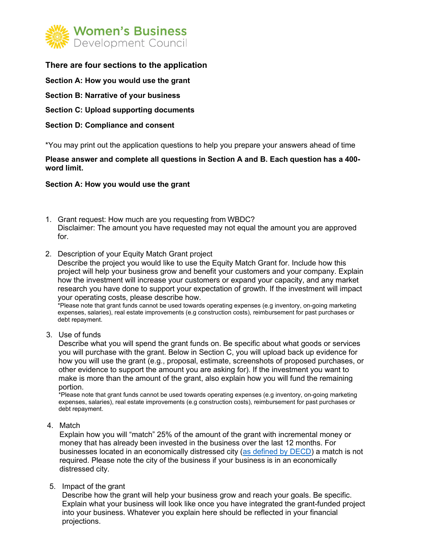

# **There are four sections to the application**

- **Section A: How you would use the grant**
- **Section B: Narrative of your business**
- **Section C: Upload supporting documents**

#### **Section D: Compliance and consent**

\*You may print out the application questions to help you prepare your answers ahead of time

**Please answer and complete all questions in Section A and B. Each question has a 400 word limit.** 

#### **Section A: How you would use the grant**

- 1. Grant request: How much are you requesting from WBDC? Disclaimer: The amount you have requested may not equal the amount you are approved for.
- 2. Description of your Equity Match Grant project

Describe the project you would like to use the Equity Match Grant for. Include how this project will help your business grow and benefit your customers and your company. Explain how the investment will increase your customers or expand your capacity, and any market research you have done to support your expectation of growth. If the investment will impact your operating costs, please describe how.

\*Please note that grant funds cannot be used towards operating expenses (e.g inventory, on-going marketing expenses, salaries), real estate improvements (e.g construction costs), reimbursement for past purchases or debt repayment.

3. Use of funds

Describe what you will spend the grant funds on. Be specific about what goods or services you will purchase with the grant. Below in Section C, you will upload back up evidence for how you will use the grant (e.g., proposal, estimate, screenshots of proposed purchases, or other evidence to support the amount you are asking for). If the investment you want to make is more than the amount of the grant, also explain how you will fund the remaining portion.

\*Please note that grant funds cannot be used towards operating expenses (e.g inventory, on-going marketing expenses, salaries), real estate improvements (e.g construction costs), reimbursement for past purchases or debt repayment.

#### 4. Match

Explain how you will "match" 25% of the amount of the grant with incremental money or money that has already been invested in the business over the last 12 months. For businesses located in an economically distressed city [\(as defined by DECD\)](https://portal.ct.gov/DECD/Content/About_DECD/Research-and-Publications/02_Review_Publications/Distressed-Municipalities) a match is not required. Please note the city of the business if your business is in an economically distressed city.

5. Impact of the grant

Describe how the grant will help your business grow and reach your goals. Be specific. Explain what your business will look like once you have integrated the grant-funded project into your business. Whatever you explain here should be reflected in your financial projections.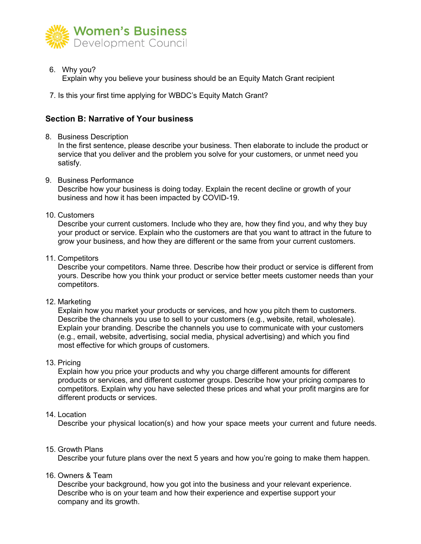

6. Why you?

Explain why you believe your business should be an Equity Match Grant recipient

7. Is this your first time applying for WBDC's Equity Match Grant?

# **Section B: Narrative of Your business**

8. Business Description

In the first sentence, please describe your business. Then elaborate to include the product or service that you deliver and the problem you solve for your customers, or unmet need you satisfy.

9. Business Performance

Describe how your business is doing today. Explain the recent decline or growth of your business and how it has been impacted by COVID-19.

10. Customers

Describe your current customers. Include who they are, how they find you, and why they buy your product or service. Explain who the customers are that you want to attract in the future to grow your business, and how they are different or the same from your current customers.

11. Competitors

Describe your competitors. Name three. Describe how their product or service is different from yours. Describe how you think your product or service better meets customer needs than your competitors.

12. Marketing

Explain how you market your products or services, and how you pitch them to customers. Describe the channels you use to sell to your customers (e.g., website, retail, wholesale). Explain your branding. Describe the channels you use to communicate with your customers (e.g., email, website, advertising, social media, physical advertising) and which you find most effective for which groups of customers.

13. Pricing

Explain how you price your products and why you charge different amounts for different products or services, and different customer groups. Describe how your pricing compares to competitors. Explain why you have selected these prices and what your profit margins are for different products or services.

## 14. Location

Describe your physical location(s) and how your space meets your current and future needs.

15. Growth Plans

Describe your future plans over the next 5 years and how you're going to make them happen.

16. Owners & Team

Describe your background, how you got into the business and your relevant experience. Describe who is on your team and how their experience and expertise support your company and its growth.